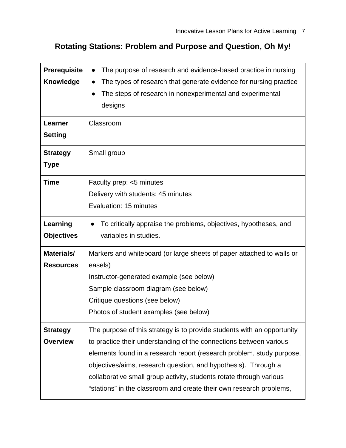## **Rotating Stations: Problem and Purpose and Question, Oh My!**

| Prerequisite<br><b>Knowledge</b><br><b>Learner</b><br><b>Setting</b> | The purpose of research and evidence-based practice in nursing<br>The types of research that generate evidence for nursing practice<br>The steps of research in nonexperimental and experimental<br>designs<br>Classroom                                                                                                                                                                                                               |  |  |
|----------------------------------------------------------------------|----------------------------------------------------------------------------------------------------------------------------------------------------------------------------------------------------------------------------------------------------------------------------------------------------------------------------------------------------------------------------------------------------------------------------------------|--|--|
| <b>Strategy</b><br><b>Type</b>                                       | Small group                                                                                                                                                                                                                                                                                                                                                                                                                            |  |  |
| <b>Time</b>                                                          | Faculty prep: <5 minutes<br>Delivery with students: 45 minutes<br>Evaluation: 15 minutes                                                                                                                                                                                                                                                                                                                                               |  |  |
| Learning<br><b>Objectives</b>                                        | To critically appraise the problems, objectives, hypotheses, and<br>variables in studies.                                                                                                                                                                                                                                                                                                                                              |  |  |
| Materials/<br><b>Resources</b>                                       | Markers and whiteboard (or large sheets of paper attached to walls or<br>easels)<br>Instructor-generated example (see below)<br>Sample classroom diagram (see below)<br>Critique questions (see below)<br>Photos of student examples (see below)                                                                                                                                                                                       |  |  |
| <b>Strategy</b><br><b>Overview</b>                                   | The purpose of this strategy is to provide students with an opportunity<br>to practice their understanding of the connections between various<br>elements found in a research report (research problem, study purpose,<br>objectives/aims, research question, and hypothesis). Through a<br>collaborative small group activity, students rotate through various<br>"stations" in the classroom and create their own research problems, |  |  |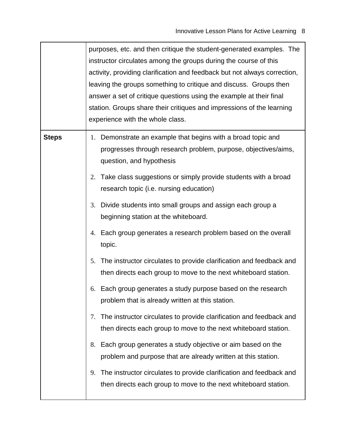|              | purposes, etc. and then critique the student-generated examples. The<br>instructor circulates among the groups during the course of this<br>activity, providing clarification and feedback but not always correction,<br>leaving the groups something to critique and discuss. Groups then<br>answer a set of critique questions using the example at their final<br>station. Groups share their critiques and impressions of the learning<br>experience with the whole class. |  |
|--------------|--------------------------------------------------------------------------------------------------------------------------------------------------------------------------------------------------------------------------------------------------------------------------------------------------------------------------------------------------------------------------------------------------------------------------------------------------------------------------------|--|
| <b>Steps</b> | 1. Demonstrate an example that begins with a broad topic and<br>progresses through research problem, purpose, objectives/aims,<br>question, and hypothesis                                                                                                                                                                                                                                                                                                                     |  |
|              | 2. Take class suggestions or simply provide students with a broad<br>research topic (i.e. nursing education)                                                                                                                                                                                                                                                                                                                                                                   |  |
|              | 3. Divide students into small groups and assign each group a<br>beginning station at the whiteboard.                                                                                                                                                                                                                                                                                                                                                                           |  |
|              | 4. Each group generates a research problem based on the overall<br>topic.                                                                                                                                                                                                                                                                                                                                                                                                      |  |
|              | The instructor circulates to provide clarification and feedback and<br>5.<br>then directs each group to move to the next whiteboard station.                                                                                                                                                                                                                                                                                                                                   |  |
|              | Each group generates a study purpose based on the research<br>6.<br>problem that is already written at this station.                                                                                                                                                                                                                                                                                                                                                           |  |
|              | The instructor circulates to provide clarification and feedback and<br>7.<br>then directs each group to move to the next whiteboard station.                                                                                                                                                                                                                                                                                                                                   |  |
|              | Each group generates a study objective or aim based on the<br>8.<br>problem and purpose that are already written at this station.                                                                                                                                                                                                                                                                                                                                              |  |
|              | The instructor circulates to provide clarification and feedback and<br>9.<br>then directs each group to move to the next whiteboard station.                                                                                                                                                                                                                                                                                                                                   |  |

r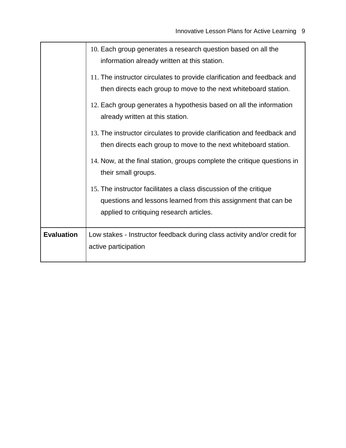|                   | 10. Each group generates a research question based on all the<br>information already written at this station.                                                                   |
|-------------------|---------------------------------------------------------------------------------------------------------------------------------------------------------------------------------|
|                   | 11. The instructor circulates to provide clarification and feedback and<br>then directs each group to move to the next whiteboard station.                                      |
|                   | 12. Each group generates a hypothesis based on all the information<br>already written at this station.                                                                          |
|                   | 13. The instructor circulates to provide clarification and feedback and<br>then directs each group to move to the next whiteboard station.                                      |
|                   | 14. Now, at the final station, groups complete the critique questions in<br>their small groups.                                                                                 |
|                   | 15. The instructor facilitates a class discussion of the critique<br>questions and lessons learned from this assignment that can be<br>applied to critiquing research articles. |
| <b>Evaluation</b> | Low stakes - Instructor feedback during class activity and/or credit for<br>active participation                                                                                |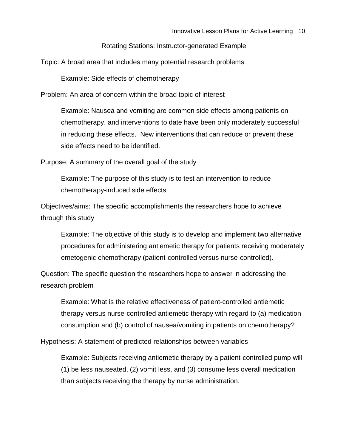Rotating Stations: Instructor-generated Example

Topic: A broad area that includes many potential research problems

Example: Side effects of chemotherapy

Problem: An area of concern within the broad topic of interest

Example: Nausea and vomiting are common side effects among patients on chemotherapy, and interventions to date have been only moderately successful in reducing these effects. New interventions that can reduce or prevent these side effects need to be identified.

Purpose: A summary of the overall goal of the study

Example: The purpose of this study is to test an intervention to reduce chemotherapy-induced side effects

Objectives/aims: The specific accomplishments the researchers hope to achieve through this study

Example: The objective of this study is to develop and implement two alternative procedures for administering antiemetic therapy for patients receiving moderately emetogenic chemotherapy (patient-controlled versus nurse-controlled).

Question: The specific question the researchers hope to answer in addressing the research problem

Example: What is the relative effectiveness of patient-controlled antiemetic therapy versus nurse-controlled antiemetic therapy with regard to (a) medication consumption and (b) control of nausea/vomiting in patients on chemotherapy?

Hypothesis: A statement of predicted relationships between variables

Example: Subjects receiving antiemetic therapy by a patient-controlled pump will (1) be less nauseated, (2) vomit less, and (3) consume less overall medication than subjects receiving the therapy by nurse administration.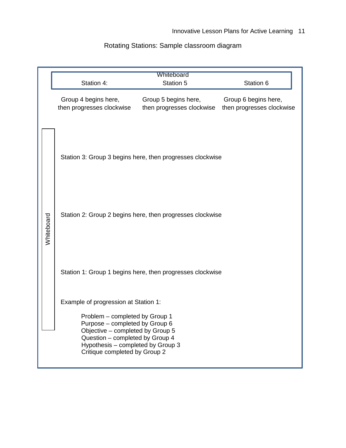## Rotating Stations: Sample classroom diagram

|            | Station 4:                                                                                                                                                                                                                                            | Whiteboard<br>Station 5                           | Station 6                                         |  |  |  |  |
|------------|-------------------------------------------------------------------------------------------------------------------------------------------------------------------------------------------------------------------------------------------------------|---------------------------------------------------|---------------------------------------------------|--|--|--|--|
|            | Group 4 begins here,<br>then progresses clockwise                                                                                                                                                                                                     | Group 5 begins here,<br>then progresses clockwise | Group 6 begins here,<br>then progresses clockwise |  |  |  |  |
|            | Station 3: Group 3 begins here, then progresses clockwise                                                                                                                                                                                             |                                                   |                                                   |  |  |  |  |
| Whiteboard | Station 2: Group 2 begins here, then progresses clockwise                                                                                                                                                                                             |                                                   |                                                   |  |  |  |  |
|            | Station 1: Group 1 begins here, then progresses clockwise                                                                                                                                                                                             |                                                   |                                                   |  |  |  |  |
|            | Example of progression at Station 1:<br>Problem - completed by Group 1<br>Purpose - completed by Group 6<br>Objective - completed by Group 5<br>Question - completed by Group 4<br>Hypothesis - completed by Group 3<br>Critique completed by Group 2 |                                                   |                                                   |  |  |  |  |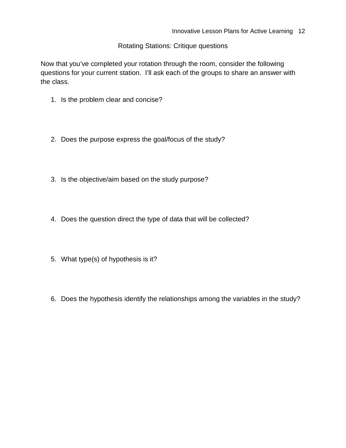## Rotating Stations: Critique questions

Now that you've completed your rotation through the room, consider the following questions for your current station. I'll ask each of the groups to share an answer with the class.

- 1. Is the problem clear and concise?
- 2. Does the purpose express the goal/focus of the study?
- 3. Is the objective/aim based on the study purpose?
- 4. Does the question direct the type of data that will be collected?
- 5. What type(s) of hypothesis is it?
- 6. Does the hypothesis identify the relationships among the variables in the study?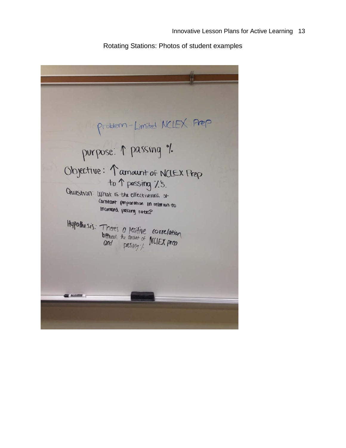Rotating Stations: Photos of student examples

Problem - Limited NCLEX Prep purpose: 1 passing %. Objective: 1 amount of NCLEX Prep<br>to 1 passing 7.5. Question: What is the effectiveness of Constant preparation in relation to Increased passing rates? Hypothesis: There's a positive correlation<br>between the amount of NCIEX prep<br>and passing?  $\rightarrow$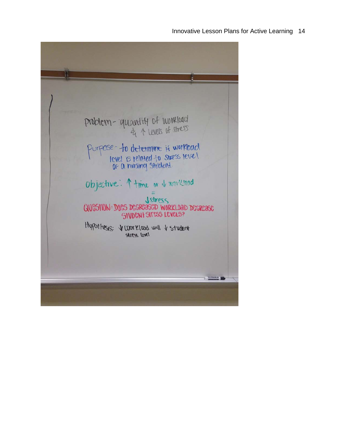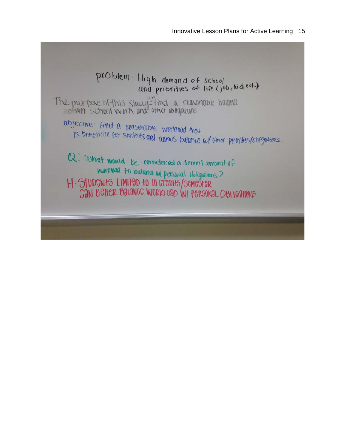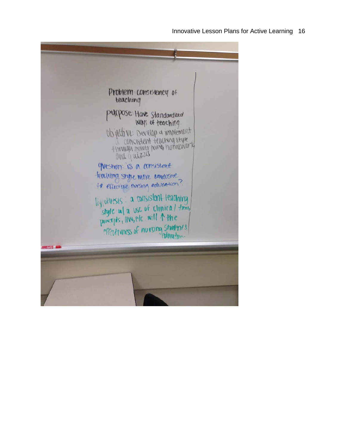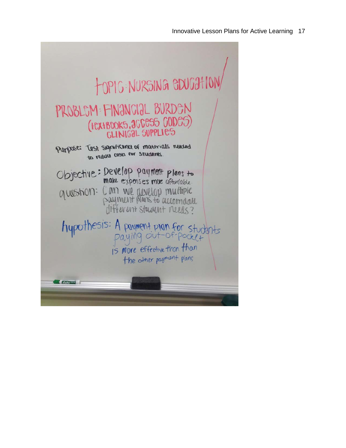